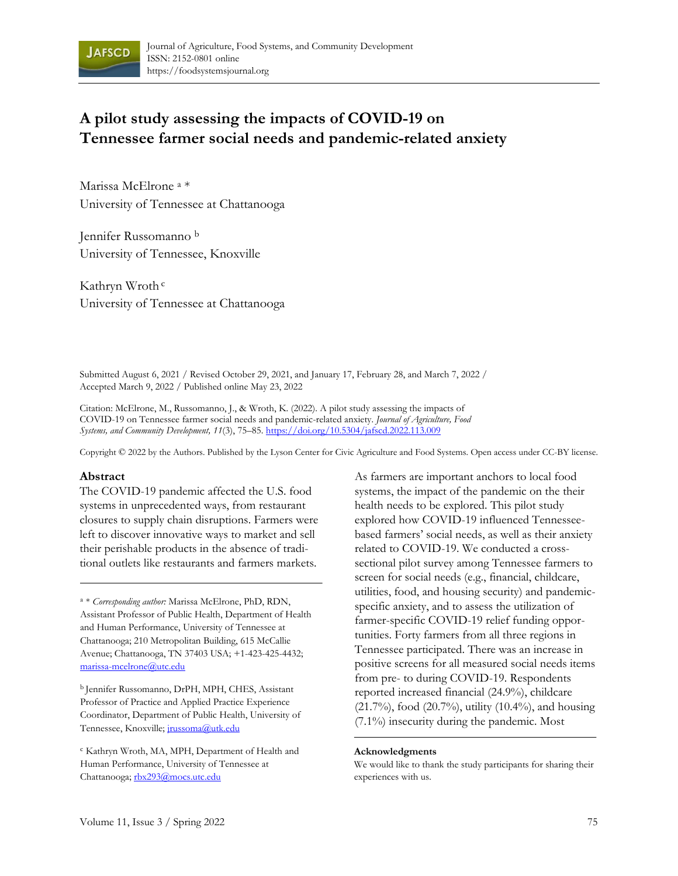

# **A pilot study assessing the impacts of COVID-19 on Tennessee farmer social needs and pandemic-related anxiety**

Marissa McElrone <sup>a</sup> \* University of Tennessee at Chattanooga

Jennifer Russomanno <sup>b</sup> University of Tennessee, Knoxville

Kathryn Wroth <sup>c</sup> University of Tennessee at Chattanooga

Submitted August 6, 2021 / Revised October 29, 2021, and January 17, February 28, and March 7, 2022 / Accepted March 9, 2022 / Published online May 23, 2022

Citation: McElrone, M., Russomanno, J., & Wroth, K. (2022). A pilot study assessing the impacts of COVID-19 on Tennessee farmer social needs and pandemic-related anxiety*. Journal of Agriculture, Food Systems, and Community Development, 11*(3), 75–85. <https://doi.org/10.5304/jafscd.2022.113.009>

Copyright © 2022 by the Authors. Published by the Lyson Center for Civic Agriculture and Food Systems. Open access under CC-BY license.

#### **Abstract**

The COVID-19 pandemic affected the U.S. food systems in unprecedented ways, from restaurant closures to supply chain disruptions. Farmers were left to discover innovative ways to market and sell their perishable products in the absence of traditional outlets like restaurants and farmers markets.

<sup>a</sup> \* *Corresponding author:* Marissa McElrone, PhD, RDN, Assistant Professor of Public Health, Department of Health and Human Performance, University of Tennessee at Chattanooga; 210 Metropolitan Building, 615 McCallie Avenue; Chattanooga, TN 37403 USA; +1-423-425-4432; [marissa-mcelrone@utc.edu](mailto:marissa-mcelrone@utc.edu)

<sup>b</sup> Jennifer Russomanno, DrPH, MPH, CHES, Assistant Professor of Practice and Applied Practice Experience Coordinator, Department of Public Health, University of Tennessee, Knoxville; *[jrussoma@utk.edu](mailto:jrussoma@utk.edu)* 

<sup>c</sup> Kathryn Wroth, MA, MPH, Department of Health and Human Performance, University of Tennessee at Chattanooga; [rbx293@mocs.utc.edu](mailto:rbx293@mocs.utc.edu)

As farmers are important anchors to local food systems, the impact of the pandemic on the their health needs to be explored. This pilot study explored how COVID-19 influenced Tennesseebased farmers' social needs, as well as their anxiety related to COVID-19. We conducted a crosssectional pilot survey among Tennessee farmers to screen for social needs (e.g., financial, childcare, utilities, food, and housing security) and pandemicspecific anxiety, and to assess the utilization of farmer-specific COVID-19 relief funding opportunities. Forty farmers from all three regions in Tennessee participated. There was an increase in positive screens for all measured social needs items from pre- to during COVID-19. Respondents reported increased financial (24.9%), childcare (21.7%), food (20.7%), utility (10.4%), and housing (7.1%) insecurity during the pandemic. Most

#### **Acknowledgments**

We would like to thank the study participants for sharing their experiences with us.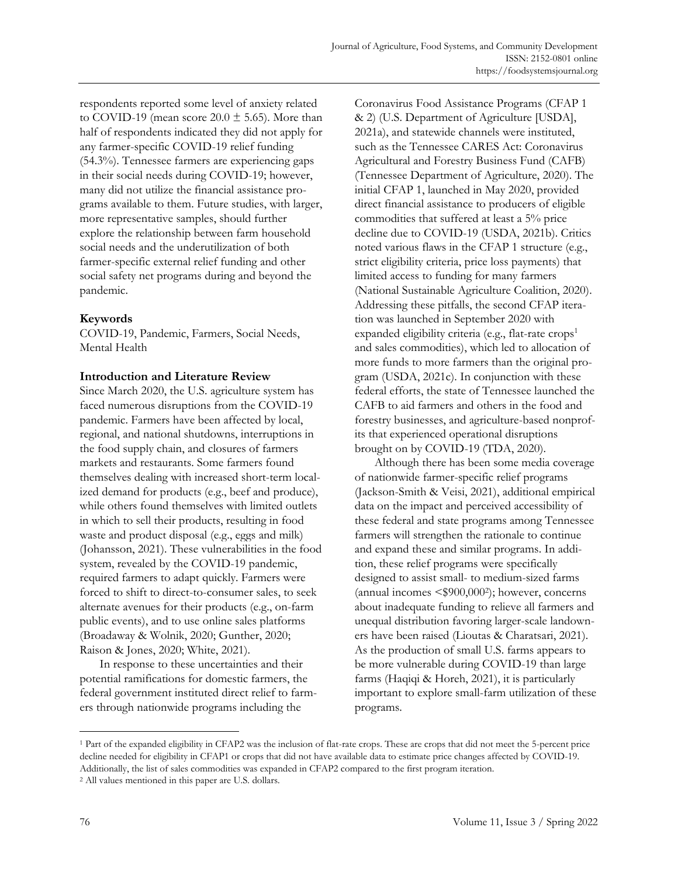respondents reported some level of anxiety related to COVID-19 (mean score  $20.0 \pm 5.65$ ). More than half of respondents indicated they did not apply for any farmer-specific COVID-19 relief funding (54.3%). Tennessee farmers are experiencing gaps in their social needs during COVID-19; however, many did not utilize the financial assistance programs available to them. Future studies, with larger, more representative samples, should further explore the relationship between farm household social needs and the underutilization of both farmer-specific external relief funding and other social safety net programs during and beyond the pandemic.

### **Keywords**

COVID-19, Pandemic, Farmers, Social Needs, Mental Health

### **Introduction and Literature Review**

Since March 2020, the U.S. agriculture system has faced numerous disruptions from the COVID-19 pandemic. Farmers have been affected by local, regional, and national shutdowns, interruptions in the food supply chain, and closures of farmers markets and restaurants. Some farmers found themselves dealing with increased short-term localized demand for products (e.g., beef and produce), while others found themselves with limited outlets in which to sell their products, resulting in food waste and product disposal (e.g., eggs and milk) (Johansson, 2021). These vulnerabilities in the food system, revealed by the COVID-19 pandemic, required farmers to adapt quickly. Farmers were forced to shift to direct-to-consumer sales, to seek alternate avenues for their products (e.g., on-farm public events), and to use online sales platforms (Broadaway & Wolnik, 2020; Gunther, 2020; Raison & Jones, 2020; White, 2021).

In response to these uncertainties and their potential ramifications for domestic farmers, the federal government instituted direct relief to farmers through nationwide programs including the

Coronavirus Food Assistance Programs (CFAP 1 & 2) (U.S. Department of Agriculture [USDA], 2021a), and statewide channels were instituted, such as the Tennessee CARES Act: Coronavirus Agricultural and Forestry Business Fund (CAFB) (Tennessee Department of Agriculture, 2020). The initial CFAP 1, launched in May 2020, provided direct financial assistance to producers of eligible commodities that suffered at least a 5% price decline due to COVID-19 (USDA, 2021b). Critics noted various flaws in the CFAP 1 structure (e.g., strict eligibility criteria, price loss payments) that limited access to funding for many farmers (National Sustainable Agriculture Coalition, 2020). Addressing these pitfalls, the second CFAP iteration was launched in September 2020 with expanded eligibility criteria (e.g., flat-rate crops<sup>1</sup> and sales commodities), which led to allocation of more funds to more farmers than the original program (USDA, 2021c). In conjunction with these federal efforts, the state of Tennessee launched the CAFB to aid farmers and others in the food and forestry businesses, and agriculture-based nonprofits that experienced operational disruptions brought on by COVID-19 (TDA, 2020).

Although there has been some media coverage of nationwide farmer-specific relief programs (Jackson-Smith & Veisi, 2021), additional empirical data on the impact and perceived accessibility of these federal and state programs among Tennessee farmers will strengthen the rationale to continue and expand these and similar programs. In addition, these relief programs were specifically designed to assist small- to medium-sized farms (annual incomes <\$900,000<sup>2</sup> ); however, concerns about inadequate funding to relieve all farmers and unequal distribution favoring larger-scale landowners have been raised (Lioutas & Charatsari, 2021). As the production of small U.S. farms appears to be more vulnerable during COVID-19 than large farms (Haqiqi & Horeh, 2021), it is particularly important to explore small-farm utilization of these programs.

<sup>1</sup> Part of the expanded eligibility in CFAP2 was the inclusion of flat-rate crops. These are crops that did not meet the 5-percent price decline needed for eligibility in CFAP1 or crops that did not have available data to estimate price changes affected by COVID-19. Additionally, the list of sales commodities was expanded in CFAP2 compared to the first program iteration.

<sup>2</sup> All values mentioned in this paper are U.S. dollars.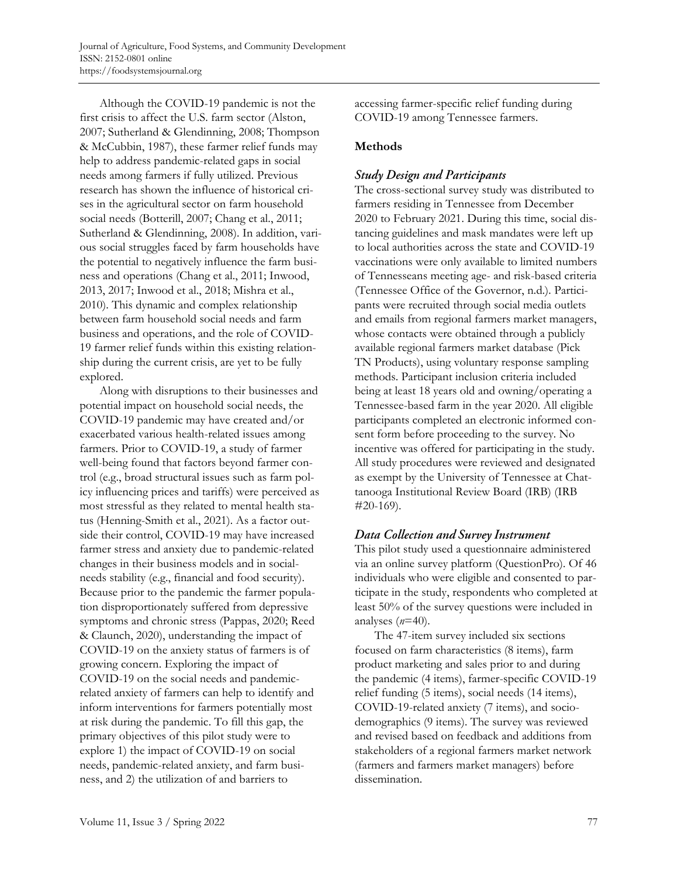Although the COVID-19 pandemic is not the first crisis to affect the U.S. farm sector (Alston, 2007; Sutherland & Glendinning, 2008; Thompson & McCubbin, 1987), these farmer relief funds may help to address pandemic-related gaps in social needs among farmers if fully utilized. Previous research has shown the influence of historical crises in the agricultural sector on farm household social needs (Botterill, 2007; Chang et al., 2011; Sutherland & Glendinning, 2008). In addition, various social struggles faced by farm households have the potential to negatively influence the farm business and operations (Chang et al., 2011; Inwood, 2013, 2017; Inwood et al., 2018; Mishra et al., 2010). This dynamic and complex relationship between farm household social needs and farm business and operations, and the role of COVID-19 farmer relief funds within this existing relationship during the current crisis, are yet to be fully explored.

Along with disruptions to their businesses and potential impact on household social needs, the COVID-19 pandemic may have created and/or exacerbated various health-related issues among farmers. Prior to COVID-19, a study of farmer well-being found that factors beyond farmer control (e.g., broad structural issues such as farm policy influencing prices and tariffs) were perceived as most stressful as they related to mental health status (Henning-Smith et al., 2021). As a factor outside their control, COVID-19 may have increased farmer stress and anxiety due to pandemic-related changes in their business models and in socialneeds stability (e.g., financial and food security). Because prior to the pandemic the farmer population disproportionately suffered from depressive symptoms and chronic stress (Pappas, 2020; Reed & Claunch, 2020), understanding the impact of COVID-19 on the anxiety status of farmers is of growing concern. Exploring the impact of COVID-19 on the social needs and pandemicrelated anxiety of farmers can help to identify and inform interventions for farmers potentially most at risk during the pandemic. To fill this gap, the primary objectives of this pilot study were to explore 1) the impact of COVID-19 on social needs, pandemic-related anxiety, and farm business, and 2) the utilization of and barriers to

accessing farmer-specific relief funding during COVID-19 among Tennessee farmers.

## **Methods**

## **Study Design and Participants**

The cross-sectional survey study was distributed to farmers residing in Tennessee from December 2020 to February 2021. During this time, social distancing guidelines and mask mandates were left up to local authorities across the state and COVID-19 vaccinations were only available to limited numbers of Tennesseans meeting age- and risk-based criteria (Tennessee Office of the Governor, n.d.). Participants were recruited through social media outlets and emails from regional farmers market managers, whose contacts were obtained through a publicly available regional farmers market database (Pick TN Products), using voluntary response sampling methods. Participant inclusion criteria included being at least 18 years old and owning/operating a Tennessee-based farm in the year 2020. All eligible participants completed an electronic informed consent form before proceeding to the survey. No incentive was offered for participating in the study. All study procedures were reviewed and designated as exempt by the University of Tennessee at Chattanooga Institutional Review Board (IRB) (IRB #20-169).

## Data Collection and Survey Instrument

This pilot study used a questionnaire administered via an online survey platform (QuestionPro). Of 46 individuals who were eligible and consented to participate in the study, respondents who completed at least 50% of the survey questions were included in analyses (*n*=40).

The 47-item survey included six sections focused on farm characteristics (8 items), farm product marketing and sales prior to and during the pandemic (4 items), farmer-specific COVID-19 relief funding (5 items), social needs (14 items), COVID-19-related anxiety (7 items), and sociodemographics (9 items). The survey was reviewed and revised based on feedback and additions from stakeholders of a regional farmers market network (farmers and farmers market managers) before dissemination.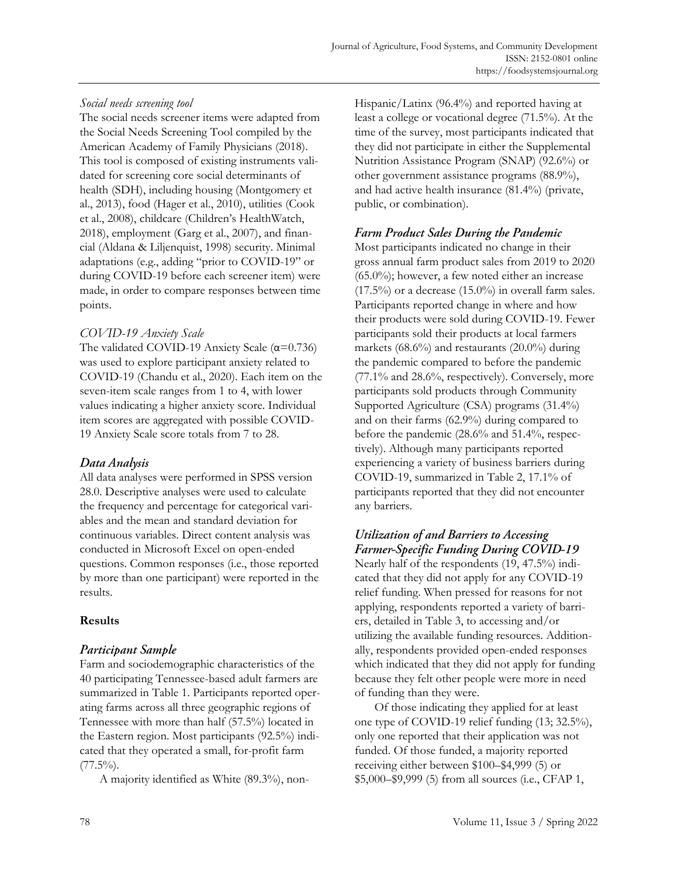## *Social needs screening tool*

The social needs screener items were adapted from the Social Needs Screening Tool compiled by the American Academy of Family Physicians (2018). This tool is composed of existing instruments validated for screening core social determinants of health (SDH), including housing (Montgomery et al., 2013), food (Hager et al., 2010), utilities (Cook et al., 2008), childcare (Children's HealthWatch, 2018), employment (Garg et al., 2007), and financial (Aldana & Liljenquist, 1998) security. Minimal adaptations (e.g., adding "prior to COVID-19" or during COVID-19 before each screener item) were made, in order to compare responses between time points.

## *COVID-19 Anxiety Scale*

The validated COVID-19 Anxiety Scale (α=0.736) was used to explore participant anxiety related to COVID-19 (Chandu et al., 2020). Each item on the seven-item scale ranges from 1 to 4, with lower values indicating a higher anxiety score. Individual item scores are aggregated with possible COVID-19 Anxiety Scale score totals from 7 to 28.

## Data Analysis

All data analyses were performed in SPSS version 28.0. Descriptive analyses were used to calculate the frequency and percentage for categorical variables and the mean and standard deviation for continuous variables. Direct content analysis was conducted in Microsoft Excel on open-ended questions. Common responses (i.e., those reported by more than one participant) were reported in the results.

## **Results**

## Participant Sample

Farm and sociodemographic characteristics of the 40 participating Tennessee-based adult farmers are summarized in Table 1. Participants reported operating farms across all three geographic regions of Tennessee with more than half (57.5%) located in the Eastern region. Most participants (92.5%) indicated that they operated a small, for-profit farm  $(77.5\%)$ .

A majority identified as White (89.3%), non-

Hispanic/Latinx (96.4%) and reported having at least a college or vocational degree (71.5%). At the time of the survey, most participants indicated that they did not participate in either the Supplemental Nutrition Assistance Program (SNAP) (92.6%) or other government assistance programs (88.9%), and had active health insurance (81.4%) (private, public, or combination).

## **Farm Product Sales During the Pandemic**

Most participants indicated no change in their gross annual farm product sales from 2019 to 2020 (65.0%); however, a few noted either an increase  $(17.5\%)$  or a decrease  $(15.0\%)$  in overall farm sales. Participants reported change in where and how their products were sold during COVID-19. Fewer participants sold their products at local farmers markets (68.6%) and restaurants (20.0%) during the pandemic compared to before the pandemic (77.1% and 28.6%, respectively). Conversely, more participants sold products through Community Supported Agriculture (CSA) programs (31.4%) and on their farms (62.9%) during compared to before the pandemic (28.6% and 51.4%, respectively). Although many participants reported experiencing a variety of business barriers during COVID-19, summarized in Table 2, 17.1% of participants reported that they did not encounter any barriers.

## Utilization of and Barriers to Accessing **Farmer-Specific Funding During COVID-19**

Nearly half of the respondents (19, 47.5%) indicated that they did not apply for any COVID-19 relief funding. When pressed for reasons for not applying, respondents reported a variety of barriers, detailed in Table 3, to accessing and/or utilizing the available funding resources. Additionally, respondents provided open-ended responses which indicated that they did not apply for funding because they felt other people were more in need of funding than they were.

Of those indicating they applied for at least one type of COVID-19 relief funding (13; 32.5%), only one reported that their application was not funded. Of those funded, a majority reported receiving either between \$100–\$4,999 (5) or \$5,000–\$9,999 (5) from all sources (i.e., CFAP 1,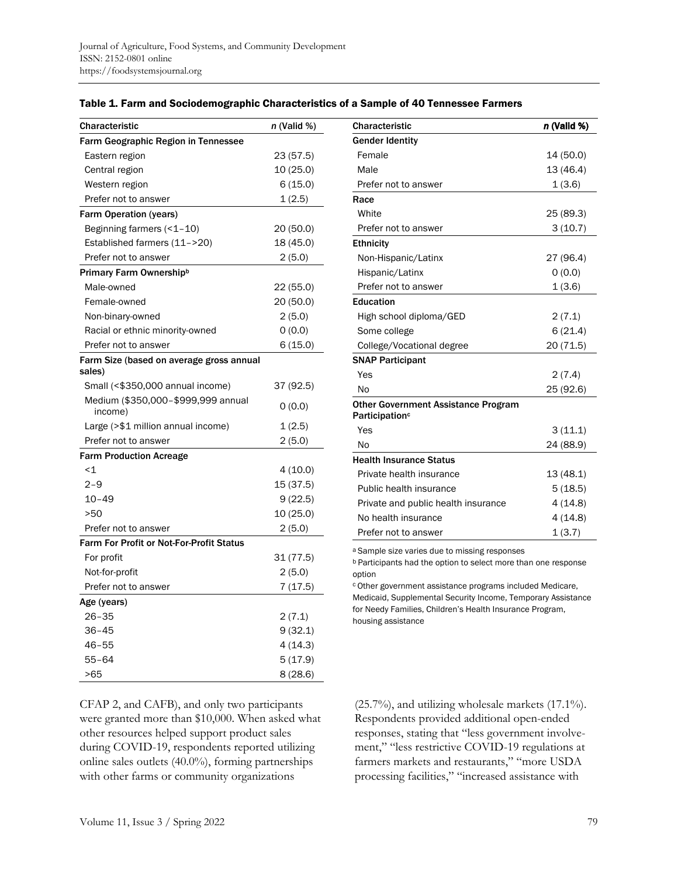| <b>Characteristic</b>                              | n (Valid %) |
|----------------------------------------------------|-------------|
| <b>Farm Geographic Region in Tennessee</b>         |             |
| Eastern region                                     | 23 (57.5)   |
| Central region                                     | 10 (25.0)   |
| Western region                                     | 6(15.0)     |
| Prefer not to answer                               | 1(2.5)      |
| <b>Farm Operation (years)</b>                      |             |
| Beginning farmers $($ < 1 – 10)                    | 20 (50.0)   |
| Established farmers (11->20)                       | 18 (45.0)   |
| Prefer not to answer                               | 2 (5.0)     |
| Primary Farm Ownershipb                            |             |
| Male-owned                                         | 22 (55.0)   |
| Female-owned                                       | 20 (50.0)   |
| Non-binary-owned                                   | 2 (5.0)     |
| Racial or ethnic minority-owned                    | 0(0.0)      |
| Prefer not to answer                               | 6 (15.0)    |
| Farm Size (based on average gross annual<br>sales) |             |
| Small (<\$350,000 annual income)                   | 37 (92.5)   |
| Medium (\$350,000-\$999,999 annual<br>income)      | 0(0.0)      |
| Large (>\$1 million annual income)                 | 1(2.5)      |
| Prefer not to answer                               | 2(5.0)      |
| <b>Farm Production Acreage</b>                     |             |
| $<$ 1                                              | 4(10.0)     |
| $2 - 9$                                            | 15 (37.5)   |
| $10 - 49$                                          | 9 (22.5)    |
| >50                                                | 10 (25.0)   |
| Prefer not to answer                               | 2(5.0)      |
| <b>Farm For Profit or Not-For-Profit Status</b>    |             |
| For profit                                         | 31 (77.5)   |
| Not-for-profit                                     | 2(5.0)      |
| Prefer not to answer                               | 7(17.5)     |
| Age (years)                                        |             |
| $26 - 35$                                          | 2 (7.1)     |
| 36-45                                              | 9(32.1)     |
| $46 - 55$                                          | 4(14.3)     |
| $55 - 64$                                          | 5(17.9)     |
| >65                                                | 8(28.6)     |

#### Table 1. Farm and Sociodemographic Characteristics of a Sample of 40 Tennessee Farmers

CFAP 2, and CAFB), and only two participants were granted more than \$10,000. When asked what other resources helped support product sales during COVID-19, respondents reported utilizing online sales outlets (40.0%), forming partnerships with other farms or community organizations

| <b>Characteristic</b>                                                    | n (Valid %) |
|--------------------------------------------------------------------------|-------------|
| <b>Gender Identity</b>                                                   |             |
| Female                                                                   | 14 (50.0)   |
| Male                                                                     | 13 (46.4)   |
| Prefer not to answer                                                     | 1(3.6)      |
| Race                                                                     |             |
| White                                                                    | 25 (89.3)   |
| Prefer not to answer                                                     | 3(10.7)     |
| Ethnicity                                                                |             |
| Non-Hispanic/Latinx                                                      | 27 (96.4)   |
| Hispanic/Latinx                                                          | 0(0.0)      |
| Prefer not to answer                                                     | 1(3.6)      |
| Education                                                                |             |
| High school diploma/GED                                                  | 2(7.1)      |
| Some college                                                             | 6(21.4)     |
| College/Vocational degree                                                | 20 (71.5)   |
| <b>SNAP Participant</b>                                                  |             |
| Yes                                                                      | 2(7.4)      |
| No                                                                       | 25 (92.6)   |
| <b>Other Government Assistance Program</b><br>Participation <sup>c</sup> |             |
| Yes                                                                      | 3(11.1)     |
| No                                                                       | 24 (88.9)   |
| <b>Health Insurance Status</b>                                           |             |
| Private health insurance                                                 | 13 (48.1)   |
| Public health insurance                                                  | 5(18.5)     |
| Private and public health insurance                                      | 4(14.8)     |
| No health insurance                                                      | 4(14.8)     |
| Prefer not to answer                                                     | 1(3.7)      |

a Sample size varies due to missing responses

b Participants had the option to select more than one response option

c Other government assistance programs included Medicare, Medicaid, Supplemental Security Income, Temporary Assistance for Needy Families, Children's Health Insurance Program, housing assistance

(25.7%), and utilizing wholesale markets (17.1%). Respondents provided additional open-ended responses, stating that "less government involvement," "less restrictive COVID-19 regulations at farmers markets and restaurants," "more USDA processing facilities," "increased assistance with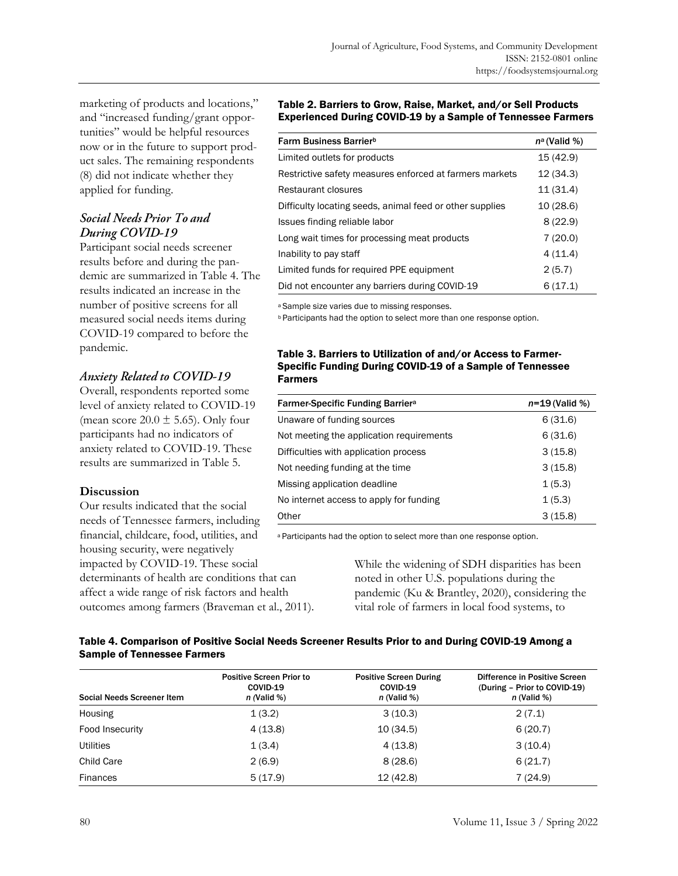marketing of products and locations," and "increased funding/grant opportunities" would be helpful resources now or in the future to support product sales. The remaining respondents (8) did not indicate whether they applied for funding.

## **Social Needs Prior To and** During COVID-19

Participant social needs screener results before and during the pandemic are summarized in Table 4. The results indicated an increase in the number of positive screens for all measured social needs items during COVID-19 compared to before the pandemic.

## **Anxiety Related to COVID-19**

Overall, respondents reported some level of anxiety related to COVID-19 (mean score  $20.0 \pm 5.65$ ). Only four participants had no indicators of anxiety related to COVID-19. These results are summarized in Table 5.

### **Discussion**

Our results indicated that the social needs of Tennessee farmers, including financial, childcare, food, utilities, and housing security, were negatively impacted by COVID-19. These social determinants of health are conditions that can affect a wide range of risk factors and health outcomes among farmers (Braveman et al., 2011).

#### Table 2. Barriers to Grow, Raise, Market, and/or Sell Products Experienced During COVID-19 by a Sample of Tennessee Farmers

| Farm Business Barrier <sup>b</sup>                       | $n^{\alpha}$ (Valid %) |
|----------------------------------------------------------|------------------------|
| Limited outlets for products                             | 15 (42.9)              |
| Restrictive safety measures enforced at farmers markets  | 12(34.3)               |
| Restaurant closures                                      | 11 (31.4)              |
| Difficulty locating seeds, animal feed or other supplies | 10(28.6)               |
| Issues finding reliable labor                            | 8(22.9)                |
| Long wait times for processing meat products             | 7(20.0)                |
| Inability to pay staff                                   | 4(11.4)                |
| Limited funds for required PPE equipment                 | 2(5.7)                 |
| Did not encounter any barriers during COVID-19           | 6(17.1)                |

a Sample size varies due to missing responses.

**b** Participants had the option to select more than one response option.

#### Table 3. Barriers to Utilization of and/or Access to Farmer-Specific Funding During COVID-19 of a Sample of Tennessee Farmers

| <b>Farmer-Specific Funding Barriera</b>  | $n = 19$ (Valid %) |
|------------------------------------------|--------------------|
| Unaware of funding sources               | 6(31.6)            |
| Not meeting the application requirements | 6(31.6)            |
| Difficulties with application process    | 3(15.8)            |
| Not needing funding at the time.         | 3(15.8)            |
| Missing application deadline             | 1(5.3)             |
| No internet access to apply for funding  | 1(5.3)             |
| Other                                    | 3(15.8)            |

a Participants had the option to select more than one response option.

While the widening of SDH disparities has been noted in other U.S. populations during the pandemic (Ku & Brantley, 2020), considering the vital role of farmers in local food systems, to

### Table 4. Comparison of Positive Social Needs Screener Results Prior to and During COVID-19 Among a Sample of Tennessee Farmers

| Social Needs Screener Item | <b>Positive Screen Prior to</b><br>COVID-19<br>$n$ (Valid %) | <b>Positive Screen During</b><br>COVID-19<br>$n$ (Valid %) | Difference in Positive Screen<br>(During - Prior to COVID-19)<br>$n$ (Valid %) |
|----------------------------|--------------------------------------------------------------|------------------------------------------------------------|--------------------------------------------------------------------------------|
| Housing                    | 1(3.2)                                                       | 3(10.3)                                                    | 2(7.1)                                                                         |
| Food Insecurity            | 4(13.8)                                                      | 10(34.5)                                                   | 6(20.7)                                                                        |
| <b>Utilities</b>           | 1(3.4)                                                       | 4(13.8)                                                    | 3(10.4)                                                                        |
| Child Care                 | 2(6.9)                                                       | 8(28.6)                                                    | 6(21.7)                                                                        |
| <b>Finances</b>            | 5(17.9)                                                      | 12(42.8)                                                   | 7(24.9)                                                                        |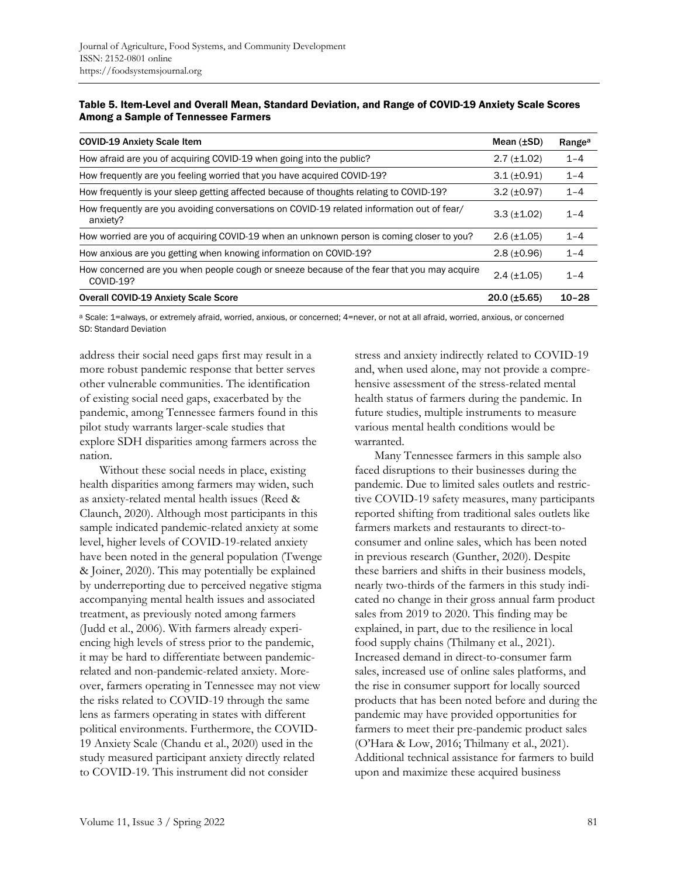| Table 5. Item-Level and Overall Mean, Standard Deviation, and Range of COVID-19 Anxiety Scale Scores |
|------------------------------------------------------------------------------------------------------|
| Among a Sample of Tennessee Farmers                                                                  |

| <b>COVID-19 Anxiety Scale Item</b>                                                                      | Mean $(\pm SD)$      | Range <sup>a</sup> |
|---------------------------------------------------------------------------------------------------------|----------------------|--------------------|
| How afraid are you of acquiring COVID-19 when going into the public?                                    | $2.7 \ (\pm 1.02)$   | $1 - 4$            |
| How frequently are you feeling worried that you have acquired COVID-19?                                 | $3.1 (\pm 0.91)$     | $1 - 4$            |
| How frequently is your sleep getting affected because of thoughts relating to COVID-19?                 | $3.2 \ (\pm 0.97)$   | $1 - 4$            |
| How frequently are you avoiding conversations on COVID-19 related information out of fear/<br>anxiety?  | $3.3 (\pm 1.02)$     | $1 - 4$            |
| How worried are you of acquiring COVID-19 when an unknown person is coming closer to you?               | $2.6 (\pm 1.05)$     | $1 - 4$            |
| How anxious are you getting when knowing information on COVID-19?                                       | $2.8(\pm 0.96)$      | $1 - 4$            |
| How concerned are you when people cough or sneeze because of the fear that you may acquire<br>COVID-19? | $2.4 \ (\pm 1.05)$   | $1 - 4$            |
| <b>Overall COVID-19 Anxiety Scale Score</b>                                                             | $20.0$ ( $\pm$ 5.65) | $10 - 28$          |

a Scale: 1=always, or extremely afraid, worried, anxious, or concerned; 4=never, or not at all afraid, worried, anxious, or concerned SD: Standard Deviation

address their social need gaps first may result in a more robust pandemic response that better serves other vulnerable communities. The identification of existing social need gaps, exacerbated by the pandemic, among Tennessee farmers found in this pilot study warrants larger-scale studies that explore SDH disparities among farmers across the nation.

Without these social needs in place, existing health disparities among farmers may widen, such as anxiety-related mental health issues (Reed & Claunch, 2020). Although most participants in this sample indicated pandemic-related anxiety at some level, higher levels of COVID-19-related anxiety have been noted in the general population (Twenge & Joiner, 2020). This may potentially be explained by underreporting due to perceived negative stigma accompanying mental health issues and associated treatment, as previously noted among farmers (Judd et al., 2006). With farmers already experiencing high levels of stress prior to the pandemic, it may be hard to differentiate between pandemicrelated and non-pandemic-related anxiety. Moreover, farmers operating in Tennessee may not view the risks related to COVID-19 through the same lens as farmers operating in states with different political environments. Furthermore, the COVID-19 Anxiety Scale (Chandu et al., 2020) used in the study measured participant anxiety directly related to COVID-19. This instrument did not consider

stress and anxiety indirectly related to COVID-19 and, when used alone, may not provide a comprehensive assessment of the stress-related mental health status of farmers during the pandemic. In future studies, multiple instruments to measure various mental health conditions would be warranted.

Many Tennessee farmers in this sample also faced disruptions to their businesses during the pandemic. Due to limited sales outlets and restrictive COVID-19 safety measures, many participants reported shifting from traditional sales outlets like farmers markets and restaurants to direct-toconsumer and online sales, which has been noted in previous research (Gunther, 2020). Despite these barriers and shifts in their business models, nearly two-thirds of the farmers in this study indicated no change in their gross annual farm product sales from 2019 to 2020. This finding may be explained, in part, due to the resilience in local food supply chains (Thilmany et al., 2021). Increased demand in direct-to-consumer farm sales, increased use of online sales platforms, and the rise in consumer support for locally sourced products that has been noted before and during the pandemic may have provided opportunities for farmers to meet their pre-pandemic product sales (O'Hara & Low, 2016; Thilmany et al., 2021). Additional technical assistance for farmers to build upon and maximize these acquired business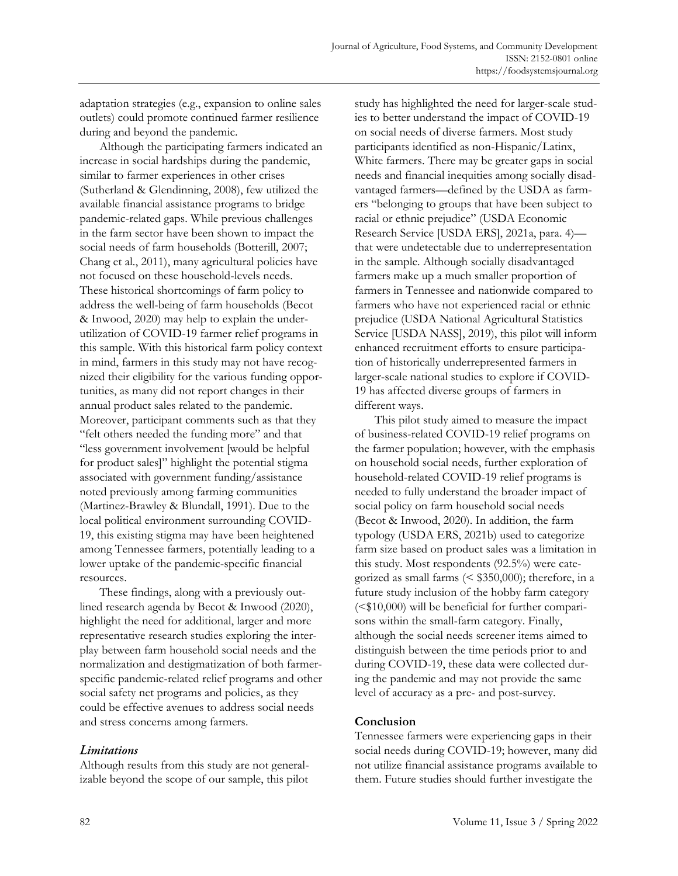adaptation strategies (e.g., expansion to online sales outlets) could promote continued farmer resilience during and beyond the pandemic.

Although the participating farmers indicated an increase in social hardships during the pandemic, similar to farmer experiences in other crises (Sutherland & Glendinning, 2008), few utilized the available financial assistance programs to bridge pandemic-related gaps. While previous challenges in the farm sector have been shown to impact the social needs of farm households (Botterill, 2007; Chang et al., 2011), many agricultural policies have not focused on these household-levels needs. These historical shortcomings of farm policy to address the well-being of farm households (Becot & Inwood, 2020) may help to explain the underutilization of COVID-19 farmer relief programs in this sample. With this historical farm policy context in mind, farmers in this study may not have recognized their eligibility for the various funding opportunities, as many did not report changes in their annual product sales related to the pandemic. Moreover, participant comments such as that they "felt others needed the funding more" and that "less government involvement [would be helpful for product sales]" highlight the potential stigma associated with government funding/assistance noted previously among farming communities (Martinez-Brawley & Blundall, 1991). Due to the local political environment surrounding COVID-19, this existing stigma may have been heightened among Tennessee farmers, potentially leading to a lower uptake of the pandemic-specific financial resources.

These findings, along with a previously outlined research agenda by Becot & Inwood (2020), highlight the need for additional, larger and more representative research studies exploring the interplay between farm household social needs and the normalization and destigmatization of both farmerspecific pandemic-related relief programs and other social safety net programs and policies, as they could be effective avenues to address social needs and stress concerns among farmers.

## Limitations

Although results from this study are not generalizable beyond the scope of our sample, this pilot

study has highlighted the need for larger-scale studies to better understand the impact of COVID-19 on social needs of diverse farmers. Most study participants identified as non-Hispanic/Latinx, White farmers. There may be greater gaps in social needs and financial inequities among socially disadvantaged farmers—defined by the USDA as farmers "belonging to groups that have been subject to racial or ethnic prejudice" (USDA Economic Research Service [USDA ERS], 2021a, para. 4) that were undetectable due to underrepresentation in the sample. Although socially disadvantaged farmers make up a much smaller proportion of farmers in Tennessee and nationwide compared to farmers who have not experienced racial or ethnic prejudice (USDA National Agricultural Statistics Service [USDA NASS], 2019), this pilot will inform enhanced recruitment efforts to ensure participation of historically underrepresented farmers in larger-scale national studies to explore if COVID-19 has affected diverse groups of farmers in different ways.

This pilot study aimed to measure the impact of business-related COVID-19 relief programs on the farmer population; however, with the emphasis on household social needs, further exploration of household-related COVID-19 relief programs is needed to fully understand the broader impact of social policy on farm household social needs (Becot & Inwood, 2020). In addition, the farm typology (USDA ERS, 2021b) used to categorize farm size based on product sales was a limitation in this study. Most respondents (92.5%) were categorized as small farms (< \$350,000); therefore, in a future study inclusion of the hobby farm category  $( $$10,000$ ) will be beneficial for further compari$ sons within the small-farm category. Finally, although the social needs screener items aimed to distinguish between the time periods prior to and during COVID-19, these data were collected during the pandemic and may not provide the same level of accuracy as a pre- and post-survey.

### **Conclusion**

Tennessee farmers were experiencing gaps in their social needs during COVID-19; however, many did not utilize financial assistance programs available to them. Future studies should further investigate the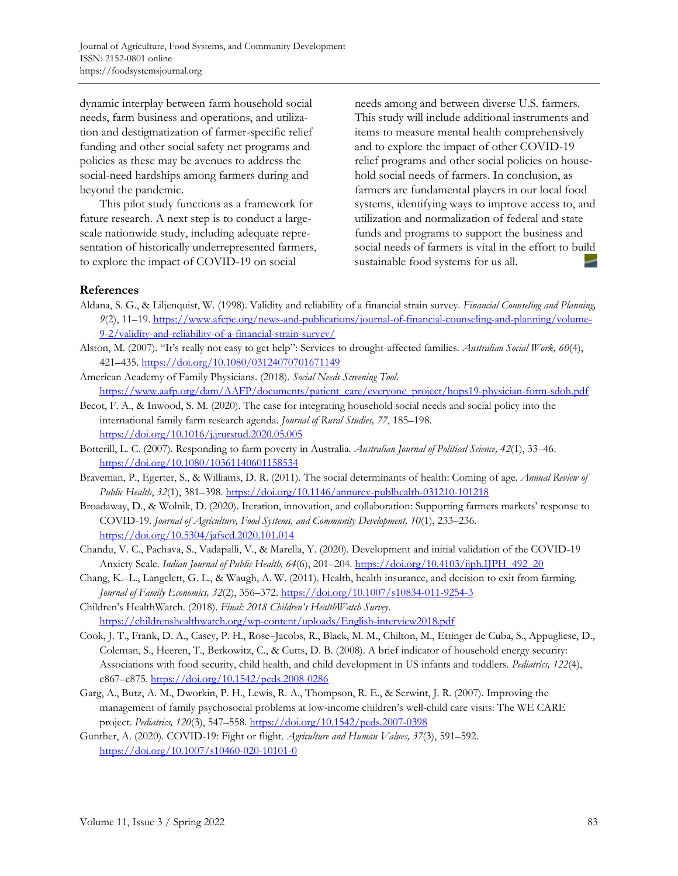dynamic interplay between farm household social needs, farm business and operations, and utilization and destigmatization of farmer-specific relief funding and other social safety net programs and policies as these may be avenues to address the social-need hardships among farmers during and beyond the pandemic.

This pilot study functions as a framework for future research. A next step is to conduct a largescale nationwide study, including adequate representation of historically underrepresented farmers, to explore the impact of COVID-19 on social

needs among and between diverse U.S. farmers. This study will include additional instruments and items to measure mental health comprehensively and to explore the impact of other COVID-19 relief programs and other social policies on household social needs of farmers. In conclusion, as farmers are fundamental players in our local food systems, identifying ways to improve access to, and utilization and normalization of federal and state funds and programs to support the business and social needs of farmers is vital in the effort to build sustainable food systems for us all.

### **References**

- Aldana, S. G., & Liljenquist, W. (1998). Validity and reliability of a financial strain survey. *Financial Counseling and Planning, 9*(2), 11–19. [https://www.afcpe.org/news-and-publications/journal-of-financial-counseling-and-planning/volume-](https://www.afcpe.org/news-and-publications/journal-of-financial-counseling-and-planning/volume-9-2/validity-and-reliability-of-a-financial-strain-survey/)[9-2/validity-and-reliability-of-a-financial-strain-survey/](https://www.afcpe.org/news-and-publications/journal-of-financial-counseling-and-planning/volume-9-2/validity-and-reliability-of-a-financial-strain-survey/)
- Alston, M. (2007). "It's really not easy to get help": Services to drought-affected families. *Australian Social Work, 60*(4), 421–435.<https://doi.org/10.1080/03124070701671149>
- American Academy of Family Physicians. (2018). *Social Needs Screening Tool*. [https://www.aafp.org/dam/AAFP/documents/patient\\_care/everyone\\_project/hops19-physician-form-sdoh.pdf](https://www.aafp.org/dam/AAFP/documents/patient_care/everyone_project/hops19-physician-form-sdoh.pdf)
- Becot, F. A., & Inwood, S. M. (2020). The case for integrating household social needs and social policy into the international family farm research agenda. *Journal of Rural Studies, 77*, 185–198. <https://doi.org/10.1016/j.jrurstud.2020.05.005>
- Botterill, L. C. (2007). Responding to farm poverty in Australia. *Australian Journal of Political Science, 42*(1), 33–46. <https://doi.org/10.1080/10361140601158534>
- Braveman, P., Egerter, S., & Williams, D. R. (2011). The social determinants of health: Coming of age. *Annual Review of Public Health*, *32*(1), 381–398.<https://doi.org/10.1146/annurev-publhealth-031210-101218>
- Broadaway, D., & Wolnik, D. (2020). Iteration, innovation, and collaboration: Supporting farmers markets' response to COVID-19. *Journal of Agriculture, Food Systems, and Community Development, 10*(1), 233–236. <https://doi.org/10.5304/jafscd.2020.101.014>
- Chandu, V. C., Pachava, S., Vadapalli, V., & Marella, Y. (2020). Development and initial validation of the COVID-19 Anxiety Scale. *Indian Journal of Public Health, 64*(6), 201–204[. https://doi.org/10.4103/ijph.IJPH\\_492\\_20](https://doi.org/10.4103/ijph.IJPH_492_20)
- Chang, K.–L., Langelett, G. L., & Waugh, A. W. (2011). Health, health insurance, and decision to exit from farming. *Journal of Family Economics, 32*(2), 356–372.<https://doi.org/10.1007/s10834-011-9254-3>
- Children's HealthWatch. (2018). *Final: 2018 Children's HealthWatch Survey*. <https://childrenshealthwatch.org/wp-content/uploads/English-interview2018.pdf>
- Cook, J. T., Frank, D. A., Casey, P. H., Rose–Jacobs, R., Black, M. M., Chilton, M., Ettinger de Cuba, S., Appugliese, D., Coleman, S., Heeren, T., Berkowitz, C., & Cutts, D. B. (2008). A brief indicator of household energy security: Associations with food security, child health, and child development in US infants and toddlers. *Pediatrics, 122*(4), e867–e875.<https://doi.org/10.1542/peds.2008-0286>
- Garg, A., Butz, A. M., Dworkin, P. H., Lewis, R. A., Thompson, R. E., & Serwint, J. R. (2007). Improving the management of family psychosocial problems at low-income children's well-child care visits: The WE CARE project. *Pediatrics, 120*(3), 547–558[. https://doi.org/10.1542/peds.2007-0398](https://doi.org/10.1542/peds.2007-0398)
- Gunther, A. (2020). COVID-19: Fight or flight. *Agriculture and Human Values, 37*(3), 591–592. <https://doi.org/10.1007/s10460-020-10101-0>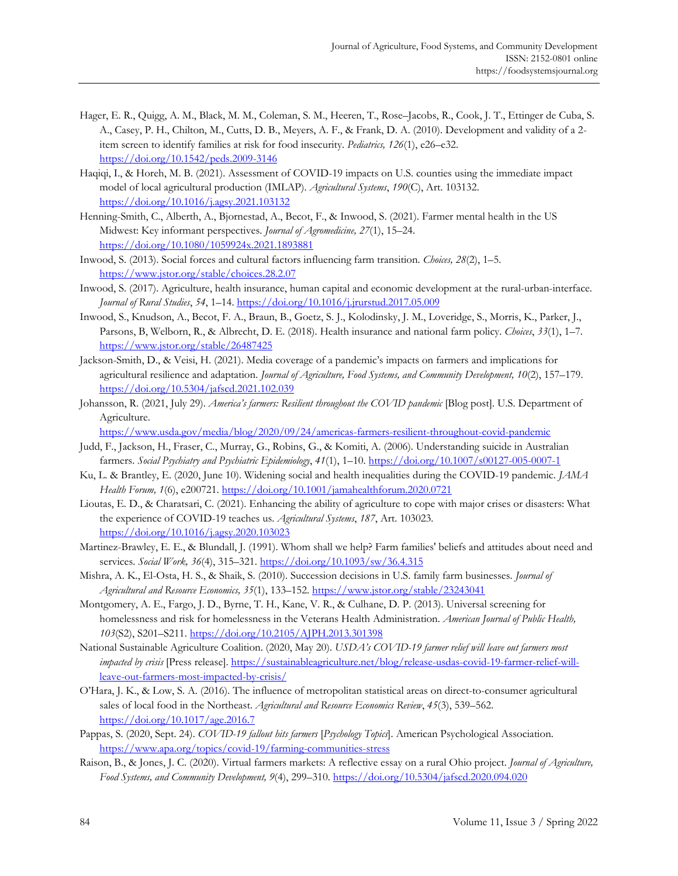- Hager, E. R., Quigg, A. M., Black, M. M., Coleman, S. M., Heeren, T., Rose–Jacobs, R., Cook, J. T., Ettinger de Cuba, S. A., Casey, P. H., Chilton, M., Cutts, D. B., Meyers, A. F., & Frank, D. A. (2010). Development and validity of a 2 item screen to identify families at risk for food insecurity. *Pediatrics, 126*(1), e26–e32. <https://doi.org/10.1542/peds.2009-3146>
- Haqiqi, I., & Horeh, M. B. (2021). Assessment of COVID-19 impacts on U.S. counties using the immediate impact model of local agricultural production (IMLAP). *Agricultural Systems*, *190*(C), Art. 103132. <https://doi.org/10.1016/j.agsy.2021.103132>
- Henning-Smith, C., Alberth, A., Bjornestad, A., Becot, F., & Inwood, S. (2021). Farmer mental health in the US Midwest: Key informant perspectives. *Journal of Agromedicine, 27*(1), 15–24. <https://doi.org/10.1080/1059924x.2021.1893881>
- Inwood, S. (2013). Social forces and cultural factors influencing farm transition. *Choices, 28*(2), 1–5. <https://www.jstor.org/stable/choices.28.2.07>
- Inwood, S. (2017). Agriculture, health insurance, human capital and economic development at the rural-urban-interface. *Journal of Rural Studies*, *54*, 1–14.<https://doi.org/10.1016/j.jrurstud.2017.05.009>
- Inwood, S., Knudson, A., Becot, F. A., Braun, B., Goetz, S. J., Kolodinsky, J. M., Loveridge, S., Morris, K., Parker, J., Parsons, B, Welborn, R., & Albrecht, D. E. (2018). Health insurance and national farm policy. *Choices*, *33*(1), 1–7. <https://www.jstor.org/stable/26487425>
- Jackson-Smith, D., & Veisi, H. (2021). Media coverage of a pandemic's impacts on farmers and implications for agricultural resilience and adaptation. *Journal of Agriculture, Food Systems, and Community Development, 10*(2), 157–179. <https://doi.org/10.5304/jafscd.2021.102.039>
- Johansson, R. (2021, July 29). *America's farmers: Resilient throughout the COVID pandemic* [Blog post]. U.S. Department of Agriculture.
	- <https://www.usda.gov/media/blog/2020/09/24/americas-farmers-resilient-throughout-covid-pandemic>
- Judd, F., Jackson, H., Fraser, C., Murray, G., Robins, G., & Komiti, A. (2006). Understanding suicide in Australian farmers. *Social Psychiatry and Psychiatric Epidemiology*, *41*(1), 1–10.<https://doi.org/10.1007/s00127-005-0007-1>
- Ku, L. & Brantley, E. (2020, June 10). Widening social and health inequalities during the COVID-19 pandemic. *JAMA Health Forum, 1*(6), e200721.<https://doi.org/10.1001/jamahealthforum.2020.0721>
- Lioutas, E. D., & Charatsari, C. (2021). Enhancing the ability of agriculture to cope with major crises or disasters: What the experience of COVID-19 teaches us. *Agricultural Systems*, *187*, Art. 103023. <https://doi.org/10.1016/j.agsy.2020.103023>
- Martinez-Brawley, E. E., & Blundall, J. (1991). Whom shall we help? Farm families' beliefs and attitudes about need and services. *Social Work, 36*(4), 315–321.<https://doi.org/10.1093/sw/36.4.315>
- Mishra, A. K., El-Osta, H. S., & Shaik, S. (2010). Succession decisions in U.S. family farm businesses. *Journal of Agricultural and Resource Economics, 35*(1), 133–152.<https://www.jstor.org/stable/23243041>
- Montgomery, A. E., Fargo, J. D., Byrne, T. H., Kane, V. R., & Culhane, D. P. (2013). Universal screening for homelessness and risk for homelessness in the Veterans Health Administration. *American Journal of Public Health, 103*(S2), S201–S211.<https://doi.org/10.2105/AJPH.2013.301398>
- National Sustainable Agriculture Coalition. (2020, May 20). *USDA's COVID-19 farmer relief will leave out farmers most impacted by crisis* [Press release][. https://sustainableagriculture.net/blog/release-usdas-covid-19-farmer-relief-will](https://sustainableagriculture.net/blog/release-usdas-covid-19-farmer-relief-will-leave-out-farmers-most-impacted-by-crisis/)[leave-out-farmers-most-impacted-by-crisis/](https://sustainableagriculture.net/blog/release-usdas-covid-19-farmer-relief-will-leave-out-farmers-most-impacted-by-crisis/)
- O'Hara, J. K., & Low, S. A. (2016). The influence of metropolitan statistical areas on direct-to-consumer agricultural sales of local food in the Northeast. *Agricultural and Resource Economics Review*, *45*(3), 539–562. <https://doi.org/10.1017/age.2016.7>
- Pappas, S. (2020, Sept. 24). *COVID-19 fallout hits farmers* [*Psychology Topics*]. American Psychological Association. <https://www.apa.org/topics/covid-19/farming-communities-stress>
- Raison, B., & Jones, J. C. (2020). Virtual farmers markets: A reflective essay on a rural Ohio project. *Journal of Agriculture, Food Systems, and Community Development, 9*(4), 299–310. <https://doi.org/10.5304/jafscd.2020.094.020>